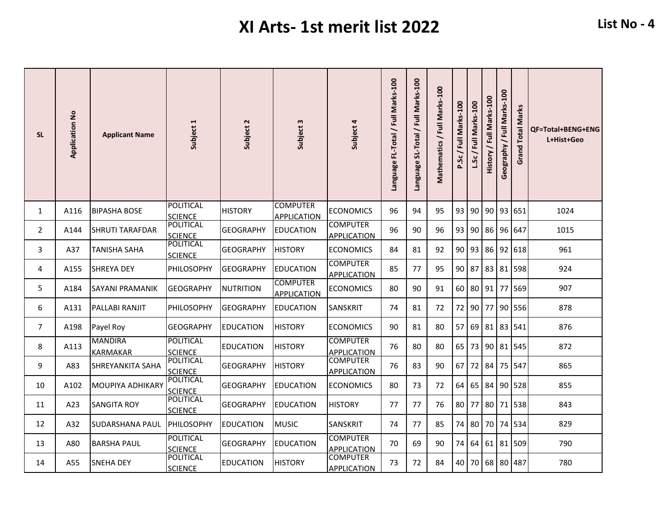| <b>SL</b>      | <b>Application No</b> | <b>Applicant Name</b>             | Subject 1                          | Subject 2        | Subject 3                             | Subject 4                             | Language FL-Total / Full Marks-100 | Marks-100<br>Language SL-Total / Full | Mathematics / Full Marks-100 | P.Sc/Full Marks-100 | L.Sc/Full Marks-100 | / Full Marks-100<br>History | Marks-100<br>$\overline{\overline{z}}$<br>Geography | Marks<br><b>Grand Total</b> | <b>QF=Total+BENG+ENG</b><br>L+Hist+Geo |
|----------------|-----------------------|-----------------------------------|------------------------------------|------------------|---------------------------------------|---------------------------------------|------------------------------------|---------------------------------------|------------------------------|---------------------|---------------------|-----------------------------|-----------------------------------------------------|-----------------------------|----------------------------------------|
| 1              | A116                  | <b>BIPASHA BOSE</b>               | <b>POLITICAL</b><br><b>SCIENCE</b> | <b>HISTORY</b>   | <b>COMPUTER</b><br><b>APPLICATION</b> | <b>ECONOMICS</b>                      | 96                                 | 94                                    | 95                           | 93                  | 90                  |                             |                                                     | 90 93 651                   | 1024                                   |
| $\overline{2}$ | A144                  | <b>SHRUTI TARAFDAR</b>            | <b>POLITICAL</b><br><b>SCIENCE</b> | <b>GEOGRAPHY</b> | <b>EDUCATION</b>                      | <b>COMPUTER</b><br><b>APPLICATION</b> | 96                                 | 90                                    | 96                           | 93                  |                     |                             |                                                     | 90 86 96 647                | 1015                                   |
| 3              | A37                   | <b>TANISHA SAHA</b>               | POLITICAL<br><b>SCIENCE</b>        | <b>GEOGRAPHY</b> | <b>HISTORY</b>                        | <b>ECONOMICS</b>                      | 84                                 | 81                                    | 92                           | 90                  | 93                  |                             |                                                     | 86 92 618                   | 961                                    |
| 4              | A155                  | <b>SHREYA DEY</b>                 | PHILOSOPHY                         | <b>GEOGRAPHY</b> | <b>EDUCATION</b>                      | <b>COMPUTER</b><br><b>APPLICATION</b> | 85                                 | 77                                    | 95                           | 90                  | 87                  |                             |                                                     | 83 81 598                   | 924                                    |
| 5              | A184                  | SAYANI PRAMANIK                   | <b>GEOGRAPHY</b>                   | <b>NUTRITION</b> | COMPUTER<br><b>APPLICATION</b>        | <b>ECONOMICS</b>                      | 80                                 | 90                                    | 91                           | 60                  |                     |                             |                                                     | 80 91 77 569                | 907                                    |
| 6              | A131                  | PALLABI RANJIT                    | PHILOSOPHY                         | <b>GEOGRAPHY</b> | EDUCATION                             | SANSKRIT                              | 74                                 | 81                                    | 72                           | 72                  | 90 <sub>1</sub>     | 77                          |                                                     | 90 556                      | 878                                    |
| $\overline{7}$ | A198                  | Payel Roy                         | <b>GEOGRAPHY</b>                   | <b>EDUCATION</b> | <b>HISTORY</b>                        | <b>ECONOMICS</b>                      | 90                                 | 81                                    | 80                           | 57                  |                     |                             |                                                     | 69 81 83 541                | 876                                    |
| 8              | A113                  | <b>MANDIRA</b><br><b>KARMAKAR</b> | <b>POLITICAL</b><br><b>SCIENCE</b> | <b>EDUCATION</b> | <b>HISTORY</b>                        | <b>COMPUTER</b><br><b>APPLICATION</b> | 76                                 | 80                                    | 80                           | 65                  | 73                  |                             |                                                     | 90 81 545                   | 872                                    |
| 9              | A83                   | SHREYANKITA SAHA                  | <b>POLITICAL</b><br><b>SCIENCE</b> | <b>GEOGRAPHY</b> | <b>HISTORY</b>                        | <b>COMPUTER</b><br><b>APPLICATION</b> | 76                                 | 83                                    | 90                           | 67                  | 72 84               |                             |                                                     | 75 547                      | 865                                    |
| 10             | A102                  | <b>MOUPIYA ADHIKARY</b>           | <b>POLITICAL</b><br><b>SCIENCE</b> | <b>GEOGRAPHY</b> | <b>EDUCATION</b>                      | <b>ECONOMICS</b>                      | 80                                 | 73                                    | 72                           | 64                  | 65                  |                             |                                                     | 84 90 528                   | 855                                    |
| 11             | A23                   | <b>SANGITA ROY</b>                | <b>POLITICAL</b><br><b>SCIENCE</b> | <b>GEOGRAPHY</b> | <b>EDUCATION</b>                      | <b>HISTORY</b>                        | 77                                 | 77                                    | 76                           | 80                  | 77                  |                             |                                                     | 80 71 538                   | 843                                    |
| 12             | A32                   | SUDARSHANA PAUL                   | PHILOSOPHY                         | <b>EDUCATION</b> | <b>MUSIC</b>                          | <b>SANSKRIT</b>                       | 74                                 | 77                                    | 85                           | 74                  | 80                  |                             |                                                     | 70 74 534                   | 829                                    |
| 13             | A80                   | <b>BARSHA PAUL</b>                | <b>POLITICAL</b><br><b>SCIENCE</b> | <b>GEOGRAPHY</b> | <b>EDUCATION</b>                      | <b>COMPUTER</b><br><b>APPLICATION</b> | 70                                 | 69                                    | 90                           | 74                  | 64                  | 61                          |                                                     | 81 509                      | 790                                    |
| 14             | A55                   | SNEHA DEY                         | <b>POLITICAL</b><br><b>SCIENCE</b> | <b>EDUCATION</b> | <b>HISTORY</b>                        | <b>COMPUTER</b><br><b>APPLICATION</b> | 73                                 | 72                                    | 84                           | 40                  | 70                  |                             |                                                     | 68 80 487                   | 780                                    |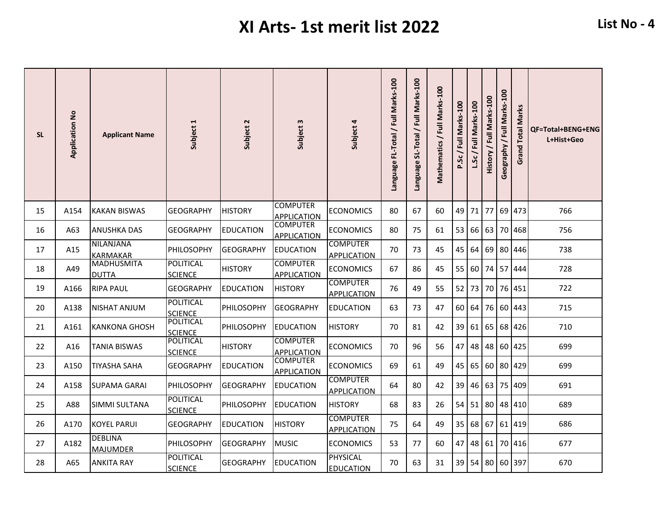| <b>SL</b> | <b>Application No</b> | <b>Applicant Name</b>               | Subject 1                          | Subject 2         | Subject 3                             | Subject 4                             | Language FL-Total / Full Marks-100 | Marks-100<br>Language SL-Total / Full | Mathematics / Full Marks-100 | P.Sc/Full Marks-100 | L.Sc/Full Marks-100 | History / Full Marks-100 | Marks-100<br>/ Full<br>Geography | Marks<br><b>Grand Total</b> | <b>QF=Total+BENG+ENG</b><br>L+Hist+Geo |
|-----------|-----------------------|-------------------------------------|------------------------------------|-------------------|---------------------------------------|---------------------------------------|------------------------------------|---------------------------------------|------------------------------|---------------------|---------------------|--------------------------|----------------------------------|-----------------------------|----------------------------------------|
| 15        | A154                  | <b>KAKAN BISWAS</b>                 | <b>GEOGRAPHY</b>                   | <b>HISTORY</b>    | <b>COMPUTER</b><br><b>APPLICATION</b> | <b>ECONOMICS</b>                      | 80                                 | 67                                    | 60                           | 49                  | 71                  | 77                       |                                  | 69 473                      | 766                                    |
| 16        | A63                   | <b>ANUSHKA DAS</b>                  | <b>GEOGRAPHY</b>                   | <b>EDUCATION</b>  | <b>COMPUTER</b><br><b>APPLICATION</b> | <b>ECONOMICS</b>                      | 80                                 | 75                                    | 61                           | 53                  |                     | 66 63                    |                                  | 70 468                      | 756                                    |
| 17        | A15                   | <b>NILANJANA</b><br><b>KARMAKAR</b> | PHILOSOPHY                         | <b>GEOGRAPHY</b>  | <b>EDUCATION</b>                      | <b>COMPUTER</b><br><b>APPLICATION</b> | 70                                 | 73                                    | 45                           | 45                  | 64                  |                          |                                  | 69 80 446                   | 738                                    |
| 18        | A49                   | <b>MADHUSMITA</b><br><b>DUTTA</b>   | <b>POLITICAL</b><br><b>SCIENCE</b> | <b>HISTORY</b>    | <b>COMPUTER</b><br><b>APPLICATION</b> | <b>ECONOMICS</b>                      | 67                                 | 86                                    | 45                           | 55                  | 60 l                |                          |                                  | 74 57 444                   | 728                                    |
| 19        | A166                  | <b>RIPA PAUL</b>                    | <b>GEOGRAPHY</b>                   | <b>EDUCATION</b>  | <b>HISTORY</b>                        | <b>COMPUTER</b><br><b>APPLICATION</b> | 76                                 | 49                                    | 55                           | 52                  | 73                  |                          |                                  | 70 76 451                   | 722                                    |
| 20        | A138                  | NISHAT ANJUM                        | <b>POLITICAL</b><br><b>SCIENCE</b> | <b>PHILOSOPHY</b> | GEOGRAPHY                             | EDUCATION                             | 63                                 | 73                                    | 47                           | 60                  | 64 l                |                          |                                  | 76 60 443                   | 715                                    |
| 21        | A161                  | <b>KANKONA GHOSH</b>                | <b>POLITICAL</b><br><b>SCIENCE</b> | PHILOSOPHY        | <b>EDUCATION</b>                      | <b>HISTORY</b>                        | 70                                 | 81                                    | 42                           | 39                  |                     | $61$ 65                  |                                  | 68 426                      | 710                                    |
| 22        | A16                   | TANIA BISWAS                        | POLITICAL<br><b>SCIENCE</b>        | <b>HISTORY</b>    | <b>COMPUTER</b><br><b>APPLICATION</b> | <b>ECONOMICS</b>                      | 70                                 | 96                                    | 56                           | 47                  | 48                  | 48                       |                                  | 60   425                    | 699                                    |
| 23        | A150                  | <b>TIYASHA SAHA</b>                 | <b>GEOGRAPHY</b>                   | <b>EDUCATION</b>  | <b>COMPUTER</b><br><b>APPLICATION</b> | <b>ECONOMICS</b>                      | 69                                 | 61                                    | 49                           | 45                  | 65                  |                          |                                  | 60 80 429                   | 699                                    |
| 24        | A158                  | <b>SUPAMA GARAI</b>                 | PHILOSOPHY                         | <b>GEOGRAPHY</b>  | <b>EDUCATION</b>                      | <b>COMPUTER</b><br><b>APPLICATION</b> | 64                                 | 80                                    | 42                           | 39                  | 46                  | 63                       |                                  | 75 409                      | 691                                    |
| 25        | A88                   | <b>SIMMI SULTANA</b>                | <b>POLITICAL</b><br><b>SCIENCE</b> | PHILOSOPHY        | EDUCATION                             | <b>HISTORY</b>                        | 68                                 | 83                                    | 26                           | 54                  |                     |                          |                                  | 51 80 48 410                | 689                                    |
| 26        | A170                  | <b>KOYEL PARUI</b>                  | <b>GEOGRAPHY</b>                   | <b>EDUCATION</b>  | <b>HISTORY</b>                        | <b>COMPUTER</b><br><b>APPLICATION</b> | 75                                 | 64                                    | 49                           | 35                  | 68                  |                          |                                  | 67 61 419                   | 686                                    |
| 27        | A182                  | <b>DEBLINA</b><br><b>MAJUMDER</b>   | PHILOSOPHY                         | <b>GEOGRAPHY</b>  | <b>MUSIC</b>                          | <b>ECONOMICS</b>                      | 53                                 | 77                                    | 60                           | 47                  |                     |                          |                                  | 48 61 70 416                | 677                                    |
| 28        | A65                   | <b>ANKITA RAY</b>                   | <b>POLITICAL</b><br><b>SCIENCE</b> | <b>GEOGRAPHY</b>  | <b>EDUCATION</b>                      | PHYSICAL<br><b>EDUCATION</b>          | 70                                 | 63                                    | 31                           | 39                  |                     |                          |                                  | 54 80 60 397                | 670                                    |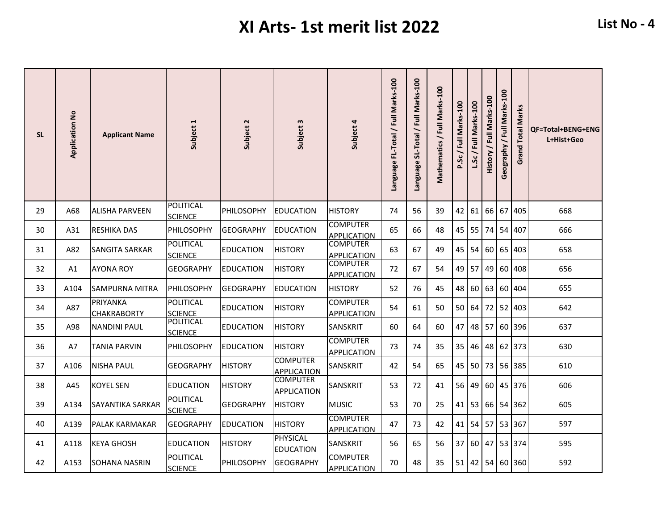| <b>SL</b> | <b>Application No</b> | <b>Applicant Name</b>                 | Subject 1                          | Subject 2         | Subject 3                             | Subject 4                             | Language FL-Total / Full Marks-100 | Language SL-Total / Full Marks-100 | Mathematics / Full Marks-100 | P.Sc/Full Marks-100 | L.Sc/Full Marks-100 | / Full Marks-100<br><b>History</b> | Marks-100<br>$\bar{a}$<br>Geography | Marks<br><b>Grand Total</b> | <b>QF=Total+BENG+ENG</b><br>L+Hist+Geo |
|-----------|-----------------------|---------------------------------------|------------------------------------|-------------------|---------------------------------------|---------------------------------------|------------------------------------|------------------------------------|------------------------------|---------------------|---------------------|------------------------------------|-------------------------------------|-----------------------------|----------------------------------------|
| 29        | A68                   | <b>ALISHA PARVEEN</b>                 | <b>POLITICAL</b><br><b>SCIENCE</b> | PHILOSOPHY        | <b>EDUCATION</b>                      | <b>HISTORY</b>                        | 74                                 | 56                                 | 39                           | 42                  | 61                  | -66 I                              |                                     | 67 405                      | 668                                    |
| 30        | A31                   | <b>RESHIKA DAS</b>                    | <b>PHILOSOPHY</b>                  | <b>GEOGRAPHY</b>  | <b>EDUCATION</b>                      | <b>COMPUTER</b><br><b>APPLICATION</b> | 65                                 | 66                                 | 48                           | 45                  | 55                  |                                    |                                     | 74 54 407                   | 666                                    |
| 31        | A82                   | <b>SANGITA SARKAR</b>                 | <b>POLITICAL</b><br><b>SCIENCE</b> | <b>EDUCATION</b>  | <b>HISTORY</b>                        | <b>COMPUTER</b><br><b>APPLICATION</b> | 63                                 | 67                                 | 49                           | 45                  | 54                  |                                    |                                     | 60 65 403                   | 658                                    |
| 32        | A1                    | <b>AYONA ROY</b>                      | <b>GEOGRAPHY</b>                   | <b>EDUCATION</b>  | <b>HISTORY</b>                        | <b>COMPUTER</b><br><b>APPLICATION</b> | 72                                 | 67                                 | 54                           | 49                  | 57                  | 49                                 |                                     | 60 408                      | 656                                    |
| 33        | A104                  | <b>SAMPURNA MITRA</b>                 | PHILOSOPHY                         | <b>GEOGRAPHY</b>  | <b>EDUCATION</b>                      | <b>HISTORY</b>                        | 52                                 | 76                                 | 45                           | 48                  | 60                  |                                    |                                     | 63 60 404                   | 655                                    |
| 34        | A87                   | <b>PRIYANKA</b><br><b>CHAKRABORTY</b> | <b>POLITICAL</b><br><b>SCIENCE</b> | <b>EDUCATION</b>  | <b>HISTORY</b>                        | <b>COMPUTER</b><br><b>APPLICATION</b> | 54                                 | 61                                 | 50                           | 50                  | 64                  |                                    |                                     | 72 52 403                   | 642                                    |
| 35        | A98                   | <b>NANDINI PAUL</b>                   | <b>POLITICAL</b><br><b>SCIENCE</b> | <b>EDUCATION</b>  | <b>HISTORY</b>                        | SANSKRIT                              | 60                                 | 64                                 | 60                           | 47                  |                     | 48 57                              |                                     | 60 396                      | 637                                    |
| 36        | A7                    | <b>TANIA PARVIN</b>                   | PHILOSOPHY                         | <b>EDUCATION</b>  | <b>HISTORY</b>                        | <b>COMPUTER</b><br><b>APPLICATION</b> | 73                                 | 74                                 | 35                           | 35                  | 46                  |                                    |                                     | 48 62 373                   | 630                                    |
| 37        | A106                  | <b>NISHA PAUL</b>                     | <b>GEOGRAPHY</b>                   | <b>HISTORY</b>    | <b>COMPUTER</b><br><b>APPLICATION</b> | SANSKRIT                              | 42                                 | 54                                 | 65                           | 45                  | 50                  |                                    |                                     | 73 56 385                   | 610                                    |
| 38        | A45                   | <b>KOYEL SEN</b>                      | <b>EDUCATION</b>                   | <b>HISTORY</b>    | <b>COMPUTER</b><br><b>APPLICATION</b> | SANSKRIT                              | 53                                 | 72                                 | 41                           | 56                  | 49                  | 60 <sup>1</sup>                    |                                     | 45 376                      | 606                                    |
| 39        | A134                  | SAYANTIKA SARKAR                      | <b>POLITICAL</b><br><b>SCIENCE</b> | <b>GEOGRAPHY</b>  | <b>HISTORY</b>                        | <b>MUSIC</b>                          | 53                                 | 70                                 | 25                           | 41                  |                     |                                    |                                     | 53 66 54 362                | 605                                    |
| 40        | A139                  | PALAK KARMAKAR                        | <b>GEOGRAPHY</b>                   | <b>EDUCATION</b>  | <b>HISTORY</b>                        | <b>COMPUTER</b><br><b>APPLICATION</b> | 47                                 | 73                                 | 42                           | 41                  |                     |                                    |                                     | 54 57 53 367                | 597                                    |
| 41        | A118                  | <b>KEYA GHOSH</b>                     | <b>EDUCATION</b>                   | <b>HISTORY</b>    | <b>PHYSICAL</b><br><b>EDUCATION</b>   | SANSKRIT                              | 56                                 | 65                                 | 56                           | 37                  |                     | 60 47                              |                                     | 53 374                      | 595                                    |
| 42        | A153                  | SOHANA NASRIN                         | POLITICAL<br><b>SCIENCE</b>        | <b>PHILOSOPHY</b> | <b>GEOGRAPHY</b>                      | <b>COMPUTER</b><br><b>APPLICATION</b> | 70                                 | 48                                 | 35                           | 51                  |                     |                                    |                                     | 42 54 60 360                | 592                                    |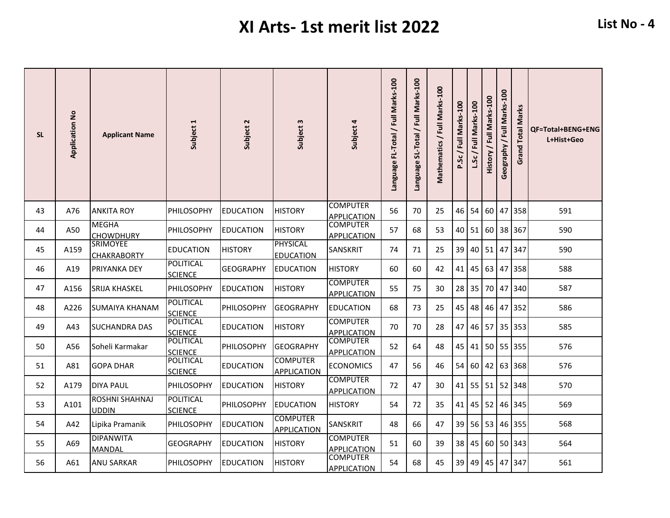| <b>SL</b> | <b>Application No</b> | <b>Applicant Name</b>                 | Subject 1                          | Subject 2        | Subject 3                             | Subject 4                             | Language FL-Total / Full Marks-100 | Marks-100<br>Language SL-Total / Full | Mathematics / Full Marks-100 | P.Sc/Full Marks-100 | L.Sc/Full Marks-100 | / Full Marks-100<br><b>History</b> | Marks-100<br>$/$ Full<br>Geography | Marks<br><b>Grand Total</b> | QF=Total+BENG+ENG<br>L+Hist+Geo |
|-----------|-----------------------|---------------------------------------|------------------------------------|------------------|---------------------------------------|---------------------------------------|------------------------------------|---------------------------------------|------------------------------|---------------------|---------------------|------------------------------------|------------------------------------|-----------------------------|---------------------------------|
| 43        | A76                   | <b>ANKITA ROY</b>                     | <b>PHILOSOPHY</b>                  | <b>EDUCATION</b> | <b>HISTORY</b>                        | <b>COMPUTER</b><br><b>APPLICATION</b> | 56                                 | 70                                    | 25                           | 46                  | 54                  | <b>60</b>                          |                                    | 47 358                      | 591                             |
| 44        | A50                   | <b>MEGHA</b><br><b>CHOWDHURY</b>      | PHILOSOPHY                         | <b>EDUCATION</b> | <b>HISTORY</b>                        | <b>COMPUTER</b><br><b>APPLICATION</b> | 57                                 | 68                                    | 53                           | 40                  | 51                  |                                    |                                    | 60 38 367                   | 590                             |
| 45        | A159                  | <b>SRIMOYEE</b><br><b>CHAKRABORTY</b> | <b>EDUCATION</b>                   | <b>HISTORY</b>   | <b>PHYSICAL</b><br><b>EDUCATION</b>   | SANSKRIT                              | 74                                 | 71                                    | 25                           | 39                  | 40                  | 51                                 |                                    | 47 347                      | 590                             |
| 46        | A19                   | PRIYANKA DEY                          | <b>POLITICAL</b><br><b>SCIENCE</b> | <b>GEOGRAPHY</b> | <b>EDUCATION</b>                      | <b>HISTORY</b>                        | 60                                 | 60                                    | 42                           | 41                  | 45                  | 63                                 |                                    | 47 358                      | 588                             |
| 47        | A156                  | <b>SRIJA KHASKEL</b>                  | <b>PHILOSOPHY</b>                  | <b>EDUCATION</b> | <b>HISTORY</b>                        | <b>COMPUTER</b><br><b>APPLICATION</b> | 55                                 | 75                                    | 30                           | 28                  | 35                  |                                    |                                    | 70 47 340                   | 587                             |
| 48        | A226                  | SUMAIYA KHANAM                        | <b>POLITICAL</b><br><b>SCIENCE</b> | PHILOSOPHY       | <b>GEOGRAPHY</b>                      | <b>EDUCATION</b>                      | 68                                 | 73                                    | 25                           | 45                  | 48                  |                                    |                                    | 46 47 352                   | 586                             |
| 49        | A43                   | <b>SUCHANDRA DAS</b>                  | <b>POLITICAL</b><br><b>SCIENCE</b> | <b>EDUCATION</b> | <b>HISTORY</b>                        | <b>COMPUTER</b><br><b>APPLICATION</b> | 70                                 | 70                                    | 28                           | 47                  |                     |                                    |                                    | 46 57 35 353                | 585                             |
| 50        | A56                   | Soheli Karmakar                       | <b>POLITICAL</b><br><b>SCIENCE</b> | PHILOSOPHY       | <b>GEOGRAPHY</b>                      | <b>COMPUTER</b><br><b>APPLICATION</b> | 52                                 | 64                                    | 48                           | 45                  |                     |                                    |                                    | 41 50 55 355                | 576                             |
| 51        | A81                   | <b>GOPA DHAR</b>                      | <b>POLITICAL</b><br><b>SCIENCE</b> | <b>EDUCATION</b> | <b>COMPUTER</b><br><b>APPLICATION</b> | <b>ECONOMICS</b>                      | 47                                 | 56                                    | 46                           | 54                  | 60 <sup>1</sup>     |                                    |                                    | 42 63 368                   | 576                             |
| 52        | A179                  | <b>DIYA PAUL</b>                      | <b>PHILOSOPHY</b>                  | <b>EDUCATION</b> | <b>HISTORY</b>                        | <b>COMPUTER</b><br><b>APPLICATION</b> | 72                                 | 47                                    | 30                           | 41                  |                     |                                    |                                    | 55 51 52 348                | 570                             |
| 53        | A101                  | ROSHNI SHAHNAJ<br><b>UDDIN</b>        | POLITICAL<br><b>SCIENCE</b>        | PHILOSOPHY       | <b>EDUCATION</b>                      | <b>HISTORY</b>                        | 54                                 | 72                                    | 35                           | 41                  |                     | 45 52                              |                                    | 46 345                      | 569                             |
| 54        | A42                   | Lipika Pramanik                       | PHILOSOPHY                         | <b>EDUCATION</b> | <b>COMPUTER</b><br><b>APPLICATION</b> | SANSKRIT                              | 48                                 | 66                                    | 47                           | 39                  | 56                  | 53                                 |                                    | 46 355                      | 568                             |
| 55        | A69                   | <b>DIPANWITA</b><br>MANDAL            | <b>GEOGRAPHY</b>                   | <b>EDUCATION</b> | <b>HISTORY</b>                        | <b>COMPUTER</b><br><b>APPLICATION</b> | 51                                 | 60                                    | 39                           | 38                  | 45                  |                                    |                                    | 60 50 343                   | 564                             |
| 56        | A61                   | <b>ANU SARKAR</b>                     | <b>PHILOSOPHY</b>                  | <b>EDUCATION</b> | <b>HISTORY</b>                        | <b>COMPUTER</b><br><b>APPLICATION</b> | 54                                 | 68                                    | 45                           | 39                  | 49                  |                                    |                                    | 45 47 347                   | 561                             |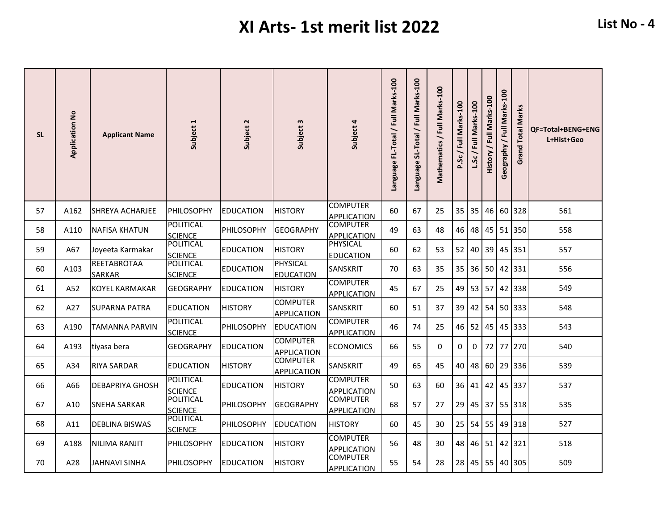| <b>SL</b> | <b>Application No</b> | <b>Applicant Name</b>        | Subject 1                          | Subject 2        | Subject 3                             | Subject 4                             | Language FL-Total / Full Marks-100 | Marks-100<br>Language SL-Total / Full | Mathematics / Full Marks-100 | P.Sc/Full Marks-100 | / Full Marks-100<br>L.Sc. | Marks-100<br>$/$ Full<br>History | Marks-100<br>$\bar{a}$<br>Geography | Marks<br><b>Grand Total</b> | <b>QF=Total+BENG+ENG</b><br>L+Hist+Geo |
|-----------|-----------------------|------------------------------|------------------------------------|------------------|---------------------------------------|---------------------------------------|------------------------------------|---------------------------------------|------------------------------|---------------------|---------------------------|----------------------------------|-------------------------------------|-----------------------------|----------------------------------------|
| 57        | A162                  | <b>SHREYA ACHARJEE</b>       | PHILOSOPHY                         | <b>EDUCATION</b> | <b>HISTORY</b>                        | <b>COMPUTER</b><br><b>APPLICATION</b> | 60                                 | 67                                    | 25                           | 35                  | 35                        | 46                               |                                     | 60 328                      | 561                                    |
| 58        | A110                  | <b>NAFISA KHATUN</b>         | <b>POLITICAL</b><br><b>SCIENCE</b> | PHILOSOPHY       | <b>GEOGRAPHY</b>                      | <b>COMPUTER</b><br><b>APPLICATION</b> | 49                                 | 63                                    | 48                           | 46                  | 48                        |                                  |                                     | 45 51 350                   | 558                                    |
| 59        | A67                   | Joyeeta Karmakar             | <b>POLITICAL</b><br><b>SCIENCE</b> | <b>EDUCATION</b> | <b>HISTORY</b>                        | PHYSICAL<br><b>EDUCATION</b>          | 60                                 | 62                                    | 53                           | 52                  | 40                        | 39                               |                                     | 45 351                      | 557                                    |
| 60        | A103                  | REETABROTAA<br><b>SARKAR</b> | POLITICAL<br><b>SCIENCE</b>        | <b>EDUCATION</b> | <b>PHYSICAL</b><br><b>EDUCATION</b>   | SANSKRIT                              | 70                                 | 63                                    | 35                           | 35                  | 36                        | 50 <sub>l</sub>                  |                                     | 42 331                      | 556                                    |
| 61        | A52                   | <b>KOYEL KARMAKAR</b>        | <b>GEOGRAPHY</b>                   | <b>EDUCATION</b> | <b>HISTORY</b>                        | <b>COMPUTER</b><br><b>APPLICATION</b> | 45                                 | 67                                    | 25                           | 49                  | 53                        | 57                               |                                     | 42 338                      | 549                                    |
| 62        | A27                   | SUPARNA PATRA                | <b>EDUCATION</b>                   | <b>HISTORY</b>   | <b>COMPUTER</b><br><b>APPLICATION</b> | SANSKRIT                              | 60                                 | 51                                    | 37                           | 39                  | 42                        |                                  |                                     | 54 50 333                   | 548                                    |
| 63        | A190                  | <b>TAMANNA PARVIN</b>        | <b>POLITICAL</b><br><b>SCIENCE</b> | PHILOSOPHY       | <b>EDUCATION</b>                      | <b>COMPUTER</b><br><b>APPLICATION</b> | 46                                 | 74                                    | 25                           | 46                  | 52                        |                                  |                                     | 45 45 333                   | 543                                    |
| 64        | A193                  | tiyasa bera                  | <b>GEOGRAPHY</b>                   | <b>EDUCATION</b> | <b>COMPUTER</b><br><b>APPLICATION</b> | <b>ECONOMICS</b>                      | 66                                 | 55                                    | 0                            | 0                   | 0                         |                                  |                                     | 72 77 270                   | 540                                    |
| 65        | A34                   | RIYA SARDAR                  | <b>EDUCATION</b>                   | <b>HISTORY</b>   | <b>COMPUTER</b><br><b>APPLICATION</b> | SANSKRIT                              | 49                                 | 65                                    | 45                           | 40                  | 48                        |                                  |                                     | 60 29 336                   | 539                                    |
| 66        | A66                   | <b>DEBAPRIYA GHOSH</b>       | <b>POLITICAL</b><br><b>SCIENCE</b> | <b>EDUCATION</b> | <b>HISTORY</b>                        | <b>COMPUTER</b><br><b>APPLICATION</b> | 50                                 | 63                                    | 60                           | 36                  | 41                        |                                  |                                     | 42 45 337                   | 537                                    |
| 67        | A10                   | SNEHA SARKAR                 | <b>POLITICAL</b><br><b>SCIENCE</b> | PHILOSOPHY       | <b>GEOGRAPHY</b>                      | <b>COMPUTER</b><br><b>APPLICATION</b> | 68                                 | 57                                    | 27                           | 29                  | 45                        |                                  |                                     | 37 55 318                   | 535                                    |
| 68        | A11                   | <b>DEBLINA BISWAS</b>        | POLITICAL<br><b>SCIENCE</b>        | PHILOSOPHY       | <b>EDUCATION</b>                      | <b>HISTORY</b>                        | 60                                 | 45                                    | 30                           | 25                  | 54                        | 55                               |                                     | 49 318                      | 527                                    |
| 69        | A188                  | NILIMA RANJIT                | PHILOSOPHY                         | <b>EDUCATION</b> | <b>HISTORY</b>                        | <b>COMPUTER</b><br>APPLICATION        | 56                                 | 48                                    | 30                           | 48                  | 46                        | 51                               |                                     | 42 321                      | 518                                    |
| 70        | A28                   | JAHNAVI SINHA                | <b>PHILOSOPHY</b>                  | <b>EDUCATION</b> | <b>HISTORY</b>                        | <b>COMPUTER</b><br><b>APPLICATION</b> | 55                                 | 54                                    | 28                           | 28                  | 45                        |                                  |                                     | 55 40 305                   | 509                                    |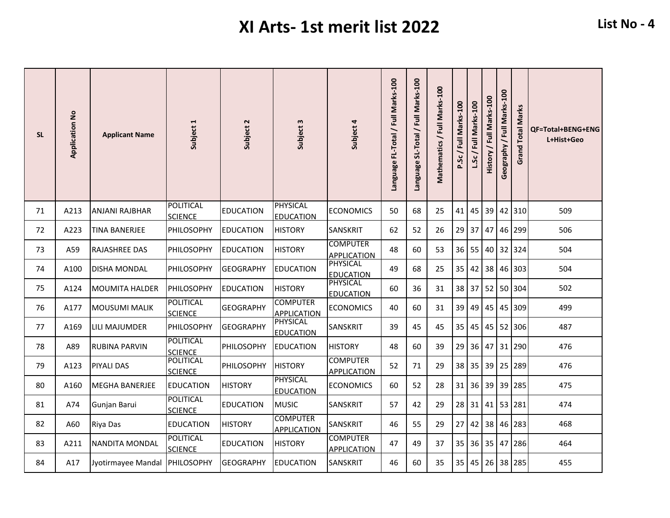| <b>SL</b> | <b>Application No</b> | <b>Applicant Name</b>         | Subject 1                          | Subject 2        | Subject 3                             | Subject 4                             | Language FL-Total / Full Marks-100 | Language SL-Total / Full Marks-100 | Mathematics / Full Marks-100 | P.Sc/Full Marks-100 | / Full Marks-100<br>L.Sc | Marks-100<br>/ Full<br>History | Marks-100<br>$\overline{5}$<br>Geography | Marks<br><b>Grand Total</b> | QF=Total+BENG+ENG<br>L+Hist+Geo |
|-----------|-----------------------|-------------------------------|------------------------------------|------------------|---------------------------------------|---------------------------------------|------------------------------------|------------------------------------|------------------------------|---------------------|--------------------------|--------------------------------|------------------------------------------|-----------------------------|---------------------------------|
| 71        | A213                  | <b>ANJANI RAJBHAR</b>         | <b>POLITICAL</b><br><b>SCIENCE</b> | <b>EDUCATION</b> | <b>PHYSICAL</b><br><b>EDUCATION</b>   | <b>ECONOMICS</b>                      | 50                                 | 68                                 | 25                           | 41                  | 45                       | 39                             |                                          | 42 310                      | 509                             |
| 72        | A223                  | <b>TINA BANERJEE</b>          | PHILOSOPHY                         | <b>EDUCATION</b> | <b>HISTORY</b>                        | <b>SANSKRIT</b>                       | 62                                 | 52                                 | 26                           | 29                  | 37                       | 47                             |                                          | 46 299                      | 506                             |
| 73        | A59                   | RAJASHREE DAS                 | PHILOSOPHY                         | <b>EDUCATION</b> | <b>HISTORY</b>                        | <b>COMPUTER</b><br><b>APPLICATION</b> | 48                                 | 60                                 | 53                           | 36                  | 55                       | 40 <sup>1</sup>                |                                          | 32 324                      | 504                             |
| 74        | A100                  | <b>DISHA MONDAL</b>           | PHILOSOPHY                         | <b>GEOGRAPHY</b> | EDUCATION                             | <b>PHYSICAL</b><br><b>EDUCATION</b>   | 49                                 | 68                                 | 25                           | 35                  | 42                       | 38                             |                                          | 46 303                      | 504                             |
| 75        | A124                  | <b>MOUMITA HALDER</b>         | PHILOSOPHY                         | <b>EDUCATION</b> | <b>HISTORY</b>                        | PHYSICAL<br><b>EDUCATION</b>          | 60                                 | 36                                 | 31                           | 38                  | 37                       |                                |                                          | 52 50 304                   | 502                             |
| 76        | A177                  | <b>MOUSUMI MALIK</b>          | <b>POLITICAL</b><br><b>SCIENCE</b> | <b>GEOGRAPHY</b> | <b>COMPUTER</b><br><b>APPLICATION</b> | <b>ECONOMICS</b>                      | 40                                 | 60                                 | 31                           | 39                  | 49                       | 45                             |                                          | 45 309                      | 499                             |
| 77        | A169                  | LILI MAJUMDER                 | PHILOSOPHY                         | <b>GEOGRAPHY</b> | PHYSICAL<br><b>EDUCATION</b>          | SANSKRIT                              | 39                                 | 45                                 | 45                           | 35                  | 45                       |                                |                                          | 45 52 306                   | 487                             |
| 78        | A89                   | <b>RUBINA PARVIN</b>          | <b>POLITICAL</b><br><b>SCIENCE</b> | PHILOSOPHY       | <b>EDUCATION</b>                      | <b>HISTORY</b>                        | 48                                 | 60                                 | 39                           | 29                  | 36                       |                                |                                          | 47 31 290                   | 476                             |
| 79        | A123                  | PIYALI DAS                    | <b>POLITICAL</b><br><b>SCIENCE</b> | PHILOSOPHY       | <b>HISTORY</b>                        | <b>COMPUTER</b><br><b>APPLICATION</b> | 52                                 | 71                                 | 29                           | 38                  | 35                       | 39                             |                                          | 25 289                      | 476                             |
| 80        | A160                  | <b>MEGHA BANERJEE</b>         | <b>EDUCATION</b>                   | <b>HISTORY</b>   | <b>PHYSICAL</b><br><b>EDUCATION</b>   | <b>ECONOMICS</b>                      | 60                                 | 52                                 | 28                           | 31                  | 36                       | 39                             |                                          | 39 285                      | 475                             |
| 81        | A74                   | Gunjan Barui                  | POLITICAL<br><b>SCIENCE</b>        | <b>EDUCATION</b> | <b>MUSIC</b>                          | <b>SANSKRIT</b>                       | 57                                 | 42                                 | 29                           | 28                  | 31                       |                                |                                          | 41 53 281                   | 474                             |
| 82        | A60                   | Riya Das                      | <b>EDUCATION</b>                   | <b>HISTORY</b>   | <b>COMPUTER</b><br><b>APPLICATION</b> | SANSKRIT                              | 46                                 | 55                                 | 29                           | 27                  | 42                       |                                |                                          | 38 46 283                   | 468                             |
| 83        | A211                  | NANDITA MONDAL                | <b>POLITICAL</b><br><b>SCIENCE</b> | <b>EDUCATION</b> | <b>HISTORY</b>                        | <b>COMPUTER</b><br><b>APPLICATION</b> | 47                                 | 49                                 | 37                           | 35                  | 36 I                     |                                |                                          | 35 47 286                   | 464                             |
| 84        | A17                   | Jyotirmayee Mandal PHILOSOPHY |                                    | <b>GEOGRAPHY</b> | <b>EDUCATION</b>                      | <b>SANSKRIT</b>                       | 46                                 | 60                                 | 35                           | 35                  | 45                       |                                |                                          | 26 38 285                   | 455                             |